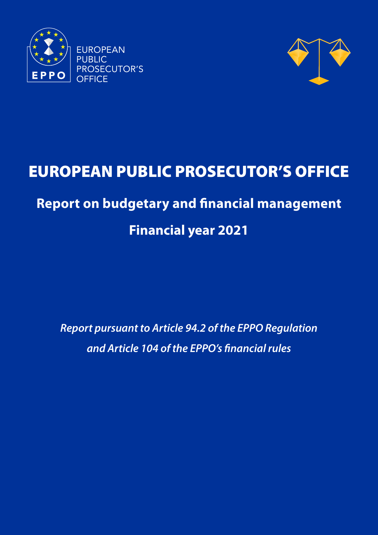



# EUROPEAN PUBLIC PROSECUTOR'S OFFICE

## **Report on budgetary and financial management**

## **Financial year 2021**

*Report pursuant to Article 94.2 of the EPPO Regulation and Article 104 of the EPPO's financial rules*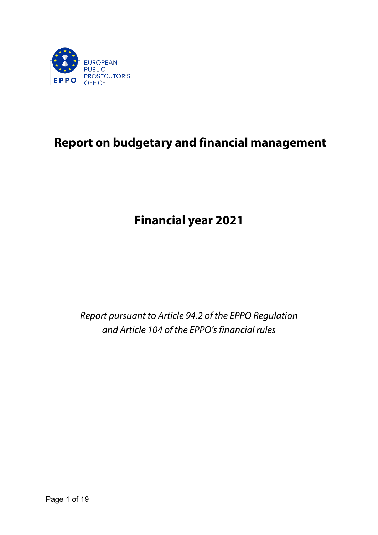

## **Report on budgetary and financial management**

**Financial year 2021**

*Report pursuant to Article 94.2 of the EPPO Regulation and Article 104 of the EPPO's financial rules*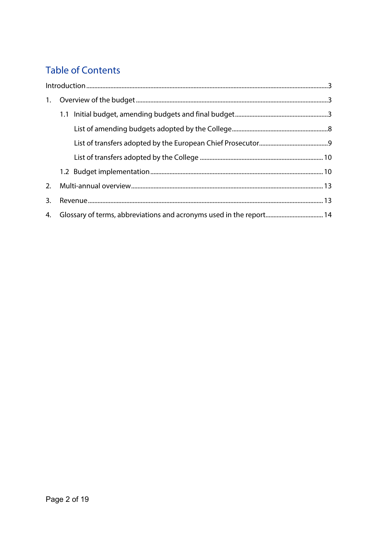## **Table of Contents**

| 3. |  |
|----|--|
|    |  |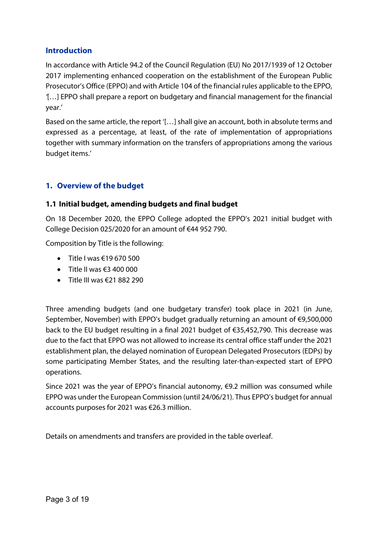### <span id="page-3-0"></span>**Introduction**

In accordance with Article 94.2 of the Council Regulation (EU) No 2017/1939 of 12 October 2017 implementing enhanced cooperation on the establishment of the European Public Prosecutor's Office (EPPO) and with Article 104 of the financial rules applicable to the EPPO, *'*[…] EPPO shall prepare a report on budgetary and financial management for the financial year.'

Based on the same article, the report '[…] shall give an account, both in absolute terms and expressed as a percentage, at least, of the rate of implementation of appropriations together with summary information on the transfers of appropriations among the various budget items.'

## <span id="page-3-1"></span>**1. Overview of the budget**

### <span id="page-3-2"></span>**1.1 Initial budget, amending budgets and final budget**

On 18 December 2020, the EPPO College adopted the EPPO's 2021 initial budget with College Decision 025/2020 for an amount of €44 952 790.

Composition by Title is the following:

- Title I was  $\epsilon$ 19 670 500
- Title II was  $63,400,000$
- Title III was  $\epsilon$ 21 882 290

Three amending budgets (and one budgetary transfer) took place in 2021 (in June, September, November) with EPPO's budget gradually returning an amount of €9,500,000 back to the EU budget resulting in a final 2021 budget of €35,452,790. This decrease was due to the fact that EPPO was not allowed to increase its central office staff under the 2021 establishment plan, the delayed nomination of European Delegated Prosecutors (EDPs) by some participating Member States, and the resulting later-than-expected start of EPPO operations.

Since 2021 was the year of EPPO's financial autonomy,  $\epsilon$ 9.2 million was consumed while EPPO was under the European Commission (until 24/06/21). Thus EPPO's budget for annual accounts purposes for 2021 was €26.3 million.

Details on amendments and transfers are provided in the table overleaf.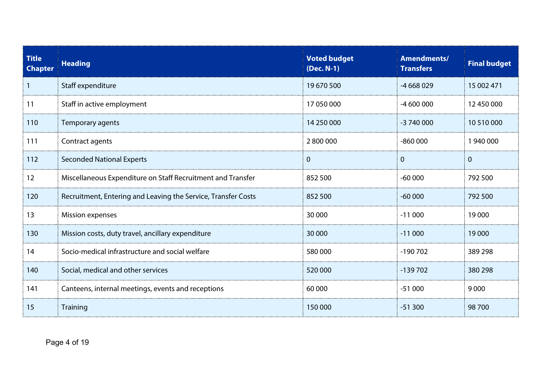| <b>Title</b><br><b>Chapter</b> | <b>Heading</b>                                                | <b>Voted budget</b><br>(Dec. N-1) | Amendments/<br><b>Transfers</b> | <b>Final budget</b> |
|--------------------------------|---------------------------------------------------------------|-----------------------------------|---------------------------------|---------------------|
| $\mathbf{1}$                   | Staff expenditure                                             | 19670500                          | $-4668029$                      | 15 002 471          |
| 11                             | Staff in active employment                                    | 17 050 000                        | $-4600000$                      | 12 450 000          |
| 110                            | Temporary agents                                              | 14 250 000                        | -3 740 000                      | 10 510 000          |
| 111                            | Contract agents                                               | 2800000                           | $-860000$                       | 1 940 000           |
| 112                            | <b>Seconded National Experts</b>                              | $\overline{0}$                    | $\overline{0}$                  | $\mathbf{0}$        |
| 12                             | Miscellaneous Expenditure on Staff Recruitment and Transfer   | 852 500                           | $-60000$                        | 792 500             |
| 120                            | Recruitment, Entering and Leaving the Service, Transfer Costs | 852 500                           | $-60000$                        | 792 500             |
| 13                             | <b>Mission expenses</b>                                       | 30 000                            | $-11000$                        | 19 000              |
| 130                            | Mission costs, duty travel, ancillary expenditure             | 30 000                            | $-11000$                        | 19 000              |
| 14                             | Socio-medical infrastructure and social welfare               | 580 000                           | $-190702$                       | 389 298             |
| 140                            | Social, medical and other services                            | 520 000                           | $-139702$                       | 380 298             |
| 141                            | Canteens, internal meetings, events and receptions            | 60 000                            | $-51000$                        | 9000                |
| 15                             | Training                                                      | 150 000                           | $-51300$                        | 98 700              |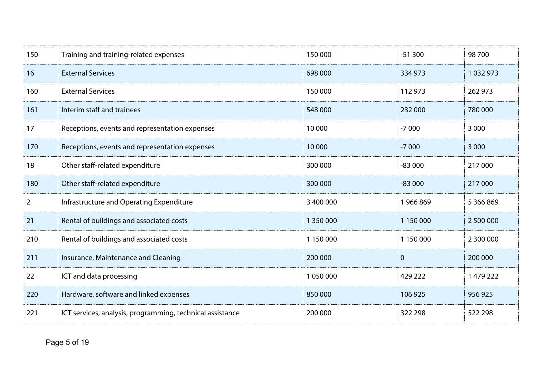| 150            | Training and training-related expenses                    | 150 000   | $-51300$     | 98700     |
|----------------|-----------------------------------------------------------|-----------|--------------|-----------|
| 16             | <b>External Services</b>                                  | 698 000   | 334 973      | 1032973   |
| 160            | <b>External Services</b>                                  | 150 000   | 112 973      | 262 973   |
| 161            | Interim staff and trainees                                | 548 000   | 232 000      | 780 000   |
| 17             | Receptions, events and representation expenses            | 10 000    | $-7000$      | 3 0 0 0   |
| 170            | Receptions, events and representation expenses            | 10 000    | $-7000$      | 3 0 0 0   |
| 18             | Other staff-related expenditure                           | 300 000   | $-83000$     | 217 000   |
| 180            | Other staff-related expenditure                           | 300 000   | $-83000$     | 217 000   |
| $\overline{2}$ | Infrastructure and Operating Expenditure                  | 3 400 000 | 1966869      | 5 366 869 |
| 21             | Rental of buildings and associated costs                  | 1 350 000 | 1 150 000    | 2 500 000 |
| 210            | Rental of buildings and associated costs                  | 1 150 000 | 1 150 000    | 2 300 000 |
| 211            | Insurance, Maintenance and Cleaning                       | 200 000   | $\mathbf{0}$ | 200 000   |
| 22             | ICT and data processing                                   | 1050000   | 429 222      | 1 479 222 |
| 220            | Hardware, software and linked expenses                    | 850000    | 106 925      | 956 925   |
| 221            | ICT services, analysis, programming, technical assistance | 200 000   | 322 298      | 522 298   |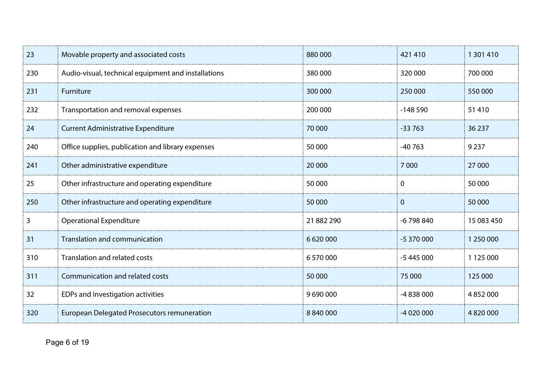| 23  | Movable property and associated costs               | 880 000     | 421 410        | 1 301 410     |
|-----|-----------------------------------------------------|-------------|----------------|---------------|
| 230 | Audio-visual, technical equipment and installations | 380 000     | 320 000        | 700 000       |
| 231 | Furniture                                           | 300 000     | 250 000        | 550 000       |
| 232 | Transportation and removal expenses                 | 200 000     | $-148590$      | 51410         |
| 24  | <b>Current Administrative Expenditure</b>           | 70 000      | $-33763$       | 36 237        |
| 240 | Office supplies, publication and library expenses   | 50 000      | $-40763$       | 9 2 3 7       |
| 241 | Other administrative expenditure                    | 20 000      | 7 0 0 0        | 27 000        |
| 25  | Other infrastructure and operating expenditure      | 50 000      | $\mathbf{0}$   | 50 000        |
| 250 | Other infrastructure and operating expenditure      | 50 000      | $\overline{0}$ | 50 000        |
| 3   | <b>Operational Expenditure</b>                      | 21 882 290  | $-6798840$     | 15 083 450    |
| 31  | <b>Translation and communication</b>                | 6 6 20 0 00 | $-5370000$     | 1 250 000     |
| 310 | <b>Translation and related costs</b>                | 6 570 000   | $-5445000$     | 1 125 000     |
| 311 | Communication and related costs                     | 50 000      | 75 000         | 125 000       |
| 32  | EDPs and Investigation activities                   | 9690000     | -4838000       | 4 8 5 2 0 0 0 |
| 320 | <b>European Delegated Prosecutors remuneration</b>  | 8 840 000   | $-4020000$     | 4 8 20 000    |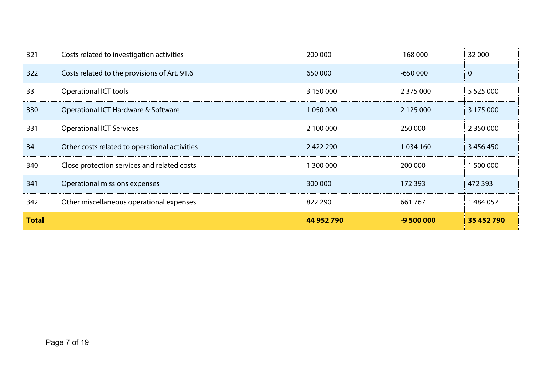| 321          | Costs related to investigation activities     | 200 000    | $-168000$   | 32 000         |
|--------------|-----------------------------------------------|------------|-------------|----------------|
| 322          | Costs related to the provisions of Art. 91.6  | 650 000    | $-650000$   | $\overline{0}$ |
| 33           | <b>Operational ICT tools</b>                  | 3 150 000  | 2 375 000   | 5 5 2 5 0 0 0  |
| 330          | Operational ICT Hardware & Software           | 1050000    | 2 125 000   | 3 175 000      |
| 331          | <b>Operational ICT Services</b>               | 2 100 000  | 250 000     | 2 3 5 0 0 0 0  |
| 34           | Other costs related to operational activities | 2422290    | 1 0 34 1 60 | 3 456 450      |
| 340          | Close protection services and related costs   | 1 300 000  | 200 000     | 1 500 000      |
| 341          | Operational missions expenses                 | 300 000    | 172 393     | 472 393        |
| 342          | Other miscellaneous operational expenses      | 822 290    | 661767      | 1484057        |
| <b>Total</b> |                                               | 44 952 790 | $-9500000$  | 35 452 790     |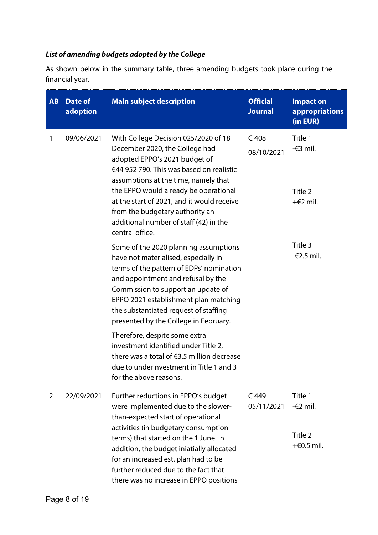## <span id="page-8-0"></span>*List of amending budgets adopted by the College*

As shown below in the summary table, three amending budgets took place during the financial year.

| <b>AB</b>       | <b>Date of</b><br>adoption | <b>Main subject description</b>                                                                                                                                                                                                                                                                                                  | <b>Official</b><br><b>Journal</b> | <b>Impact on</b><br>appropriations<br>(in EUR) |
|-----------------|----------------------------|----------------------------------------------------------------------------------------------------------------------------------------------------------------------------------------------------------------------------------------------------------------------------------------------------------------------------------|-----------------------------------|------------------------------------------------|
| 09/06/2021<br>1 |                            | With College Decision 025/2020 of 18<br>December 2020, the College had<br>adopted EPPO's 2021 budget of<br>€44 952 790. This was based on realistic<br>assumptions at the time, namely that                                                                                                                                      | C <sub>408</sub><br>08/10/2021    | Title 1<br>-€3 mil.                            |
|                 |                            | the EPPO would already be operational<br>at the start of 2021, and it would receive<br>from the budgetary authority an<br>additional number of staff (42) in the<br>central office.                                                                                                                                              |                                   | Title 2<br>$+E2$ mil.                          |
|                 |                            | Some of the 2020 planning assumptions<br>have not materialised, especially in<br>terms of the pattern of EDPs' nomination<br>and appointment and refusal by the<br>Commission to support an update of<br>EPPO 2021 establishment plan matching<br>the substantiated request of staffing<br>presented by the College in February. |                                   | Title 3<br>-€2.5 mil.                          |
|                 |                            | Therefore, despite some extra<br>investment identified under Title 2,<br>there was a total of €3.5 million decrease<br>due to underinvestment in Title 1 and 3<br>for the above reasons.                                                                                                                                         |                                   |                                                |
| $\overline{2}$  | 22/09/2021                 | Further reductions in EPPO's budget<br>were implemented due to the slower-<br>than-expected start of operational                                                                                                                                                                                                                 | $C$ 449<br>05/11/2021             | Title 1<br>-€2 mil.                            |
|                 |                            | activities (in budgetary consumption<br>terms) that started on the 1 June. In<br>addition, the budget iniatially allocated<br>for an increased est. plan had to be<br>further reduced due to the fact that<br>there was no increase in EPPO positions                                                                            |                                   | Title 2<br>$+60.5$ mil.                        |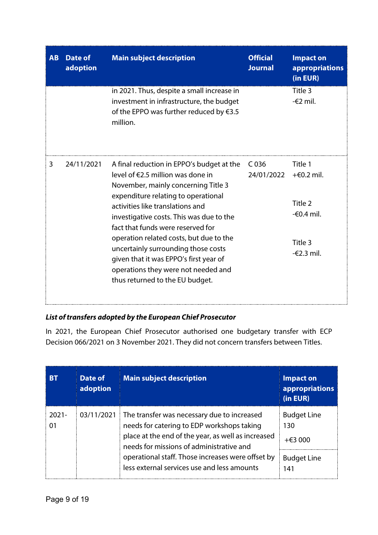| AB | Date of<br>adoption | <b>Main subject description</b>                                                                                                                                                                                                                                                                                                                                                                                                                                                                   | <b>Official</b><br><b>Journal</b> | <b>Impact on</b><br><b>appropriations</b><br>(in EUR)                                 |
|----|---------------------|---------------------------------------------------------------------------------------------------------------------------------------------------------------------------------------------------------------------------------------------------------------------------------------------------------------------------------------------------------------------------------------------------------------------------------------------------------------------------------------------------|-----------------------------------|---------------------------------------------------------------------------------------|
|    |                     | in 2021. Thus, despite a small increase in<br>investment in infrastructure, the budget<br>of the EPPO was further reduced by $63.5$<br>million.                                                                                                                                                                                                                                                                                                                                                   |                                   | Title 3<br>$-\epsilon$ 2 mil.                                                         |
| 3  | 24/11/2021          | A final reduction in EPPO's budget at the<br>level of $\epsilon$ 2.5 million was done in<br>November, mainly concerning Title 3<br>expenditure relating to operational<br>activities like translations and<br>investigative costs. This was due to the<br>fact that funds were reserved for<br>operation related costs, but due to the<br>uncertainly surrounding those costs<br>given that it was EPPO's first year of<br>operations they were not needed and<br>thus returned to the EU budget. | C <sub>036</sub><br>24/01/2022    | Title 1<br>$+60.2$ mil.<br>Title 2<br>$-60.4$ mil.<br>Title 3<br>$-\epsilon$ 2.3 mil. |

## <span id="page-9-0"></span>*List of transfers adopted by the European Chief Prosecutor*

In 2021, the European Chief Prosecutor authorised one budgetary transfer with ECP Decision 066/2021 on 3 November 2021. They did not concern transfers between Titles.

| <b>BT</b>      | Date of<br>adoption | <b>Main subject description</b>                                                                                                                                                                                                                                                                 | <b>Impact on</b><br>appropriations<br>(in EUR)                     |
|----------------|---------------------|-------------------------------------------------------------------------------------------------------------------------------------------------------------------------------------------------------------------------------------------------------------------------------------------------|--------------------------------------------------------------------|
| $2021 -$<br>01 | 03/11/2021          | The transfer was necessary due to increased<br>needs for catering to EDP workshops taking<br>place at the end of the year, as well as increased<br>needs for missions of administrative and<br>operational staff. Those increases were offset by<br>less external services use and less amounts | <b>Budget Line</b><br>130<br>$+€3000$<br><b>Budget Line</b><br>141 |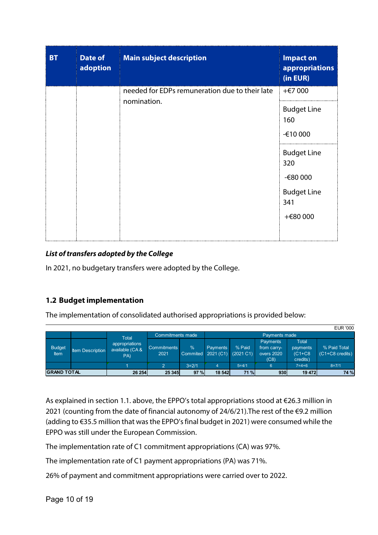| <b>BT</b> | <b>Date of</b><br>adoption | <b>Main subject description</b>                | <b>Impact on</b><br>appropriations<br>(in EUR) |
|-----------|----------------------------|------------------------------------------------|------------------------------------------------|
|           |                            | needed for EDPs remuneration due to their late | $+€7000$                                       |
|           |                            | nomination.                                    | <b>Budget Line</b><br>160<br>-€10 000          |
|           |                            |                                                | <b>Budget Line</b><br>320<br>-€80 000          |
|           |                            |                                                | <b>Budget Line</b><br>341                      |
|           |                            |                                                | +€80 000                                       |

### <span id="page-10-0"></span>*List of transfers adopted by the College*

In 2021, no budgetary transfers were adopted by the College.

#### <span id="page-10-1"></span>**1.2 Budget implementation**

The implementation of consolidated authorised appropriations is provided below:

|                       |                         |                                          |                            |                                     |                 |                     |                                               |                                           | <b>EUR '000</b>                           |
|-----------------------|-------------------------|------------------------------------------|----------------------------|-------------------------------------|-----------------|---------------------|-----------------------------------------------|-------------------------------------------|-------------------------------------------|
|                       |                         | <b>Total</b>                             | Commitments made           |                                     |                 |                     | Payments made                                 |                                           |                                           |
| <b>Budget</b><br>Item | <b>Item Description</b> | appropriations<br>available (CA &<br>PA) | <b>Commitments</b><br>2021 | $\frac{0}{0}$<br>Commited 2021 (C1) | <b>Payments</b> | % Paid<br>(2021 C1) | Payments<br>from carry-<br>overs 2020<br>(C8) | Total<br>payments<br>$(C1+C8$<br>credits) | % Paid Total<br>$(C1+C8 \text{ credits})$ |
|                       |                         |                                          | 2                          | $3=2/1$                             | 4               | $5 = 4/1$           | 6                                             | $7 = 4 + 6$                               | $8=7/1$                                   |
| <b>IGRAND TOTAL</b>   |                         | 26 254                                   | 25 345                     | 97%                                 | 18 542          | 71 %                | 930                                           | 19 472                                    | 74 %                                      |

As explained in section 1.1. above, the EPPO's total appropriations stood at €26.3 million in 2021 (counting from the date of financial autonomy of 24/6/21).The rest of the €9.2 million (adding to €35.5 million that was the EPPO's final budget in 2021) were consumed while the EPPO was still under the European Commission.

The implementation rate of C1 commitment appropriations (CA) was 97%.

The implementation rate of C1 payment appropriations (PA) was 71%.

26% of payment and commitment appropriations were carried over to 2022.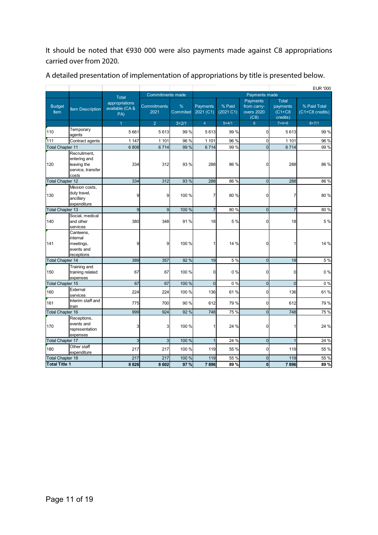It should be noted that €930 000 were also payments made against C8 appropriations carried over from 2020.

|                         |                                                                           |                                         |                            |               |                       |                     |                                               |                                                  | <b>EUR '000</b>                 |
|-------------------------|---------------------------------------------------------------------------|-----------------------------------------|----------------------------|---------------|-----------------------|---------------------|-----------------------------------------------|--------------------------------------------------|---------------------------------|
|                         |                                                                           | <b>Total</b>                            | <b>Commitments made</b>    |               |                       |                     | Payments made                                 |                                                  |                                 |
| <b>Budget</b><br>Item   | <b>Item Description</b>                                                   | appropriations<br>available (CA&<br>PA) | <b>Commitments</b><br>2021 | %<br>Commited | Payments<br>2021( C1) | % Paid<br>(2021 C1) | Payments<br>from carry-<br>overs 2020<br>(C8) | <b>Total</b><br>payments<br>$(C1+C8$<br>credits) | % Paid Total<br>(C1+C8 credits) |
|                         |                                                                           | $\overline{1}$                          | $\overline{2}$             | $3=2/1$       | $\overline{4}$        | $5 = 4/1$           | $6^{\circ}$                                   | $7 = 4 + 6$                                      | $8 = 7/1$                       |
| 110                     | Temporary<br>agents                                                       | 5661                                    | 5613                       | 99 %          | 5613                  | 99 %                | $\mathbf 0$                                   | 5613                                             | 99 %                            |
| 111                     | Contract agents                                                           | 1 1 4 7                                 | 1 1 0 1                    | 96 %          | 1 101                 | 96 %                | $\mathbf 0$                                   | 1 1 0 1                                          | 96 %                            |
| <b>Total Chapter 11</b> |                                                                           | 6808                                    | 6714                       | 99 %          | 6714                  | 99 %                | $\overline{0}$                                | 6714                                             | 99 %                            |
| 120                     | Recruitment,<br>entering and<br>leaving the<br>service, transfer<br>costs | 334                                     | 312                        | 93 %          | 288                   | 86 %                | $\Omega$                                      | 288                                              | 86 %                            |
| <b>Total Chapter 12</b> |                                                                           | 334                                     | 312                        | 93 %          | 288                   | 86 %                | $\overline{0}$                                | 288                                              | 86 %                            |
| 130                     | Mission costs,<br>duty travel,<br>ancillary<br>expenditure                | 9                                       | 9                          | 100 %         | 7                     | 80 %                | 0                                             | 7                                                | 80%                             |
| <b>Total Chapter 13</b> |                                                                           | 9                                       | 9                          | 100 %         | $\overline{7}$        | 80%                 | $\overline{0}$                                | $\overline{7}$                                   | 80%                             |
| 140                     | Social, medical<br>and other<br>services                                  | 380                                     | 348                        | 91%           | 18                    | 5 %                 | $\overline{0}$                                | 18                                               | 5 %                             |
| 141                     | Canteens,<br>internal<br>meetings,<br>events and<br>receptions            | 9                                       | 9                          | 100 %         | 1                     | 14 %                | $\overline{0}$                                | 1                                                | 14 %                            |
| <b>Total Chapter 14</b> |                                                                           | 389                                     | 357                        | 92 %          | 19                    | 5 %                 | $\overline{0}$                                | 19                                               | 5 %                             |
| 150                     | Training and<br>training related<br>expenses                              | 67                                      | 67                         | 100 %         | $\overline{0}$        | 0%                  | $\mathbf 0$                                   | 0                                                | 0%                              |
| <b>Total Chapter 15</b> |                                                                           | 67                                      | 67                         | 100 %         | $\overline{0}$        | 0%                  | $\mathbf 0$                                   | $\overline{0}$                                   | 0%                              |
| 160                     | External<br>services                                                      | 224                                     | 224                        | 100 %         | 136                   | 61%                 | $\mathbf 0$                                   | 136                                              | 61%                             |
| 161                     | Interim staff and<br>train                                                | 775                                     | 700                        | 90 %          | 612                   | 79 %                | $\mathbf 0$                                   | 612                                              | 79 %                            |
| <b>Total Chapter 16</b> |                                                                           | 999                                     | 924                        | 92 %          | 748                   | 75 %                | $\overline{0}$                                | 748                                              | 75 %                            |
| 170                     | Receptions,<br>events and<br>representation<br>expenses                   | 3                                       | 3                          | 100 %         |                       | 24 %                | $\Omega$                                      |                                                  | 24 %                            |
| <b>Total Chapter 17</b> |                                                                           | 3                                       | $\overline{3}$             | 100 %         | $\mathbf{1}$          | 24 %                | $\overline{0}$                                | $\overline{1}$                                   | 24 %                            |
| 180                     | Other staff<br>expenditure                                                | 217                                     | 217                        | 100 %         | 119                   | 55 %                | $\mathbf 0$                                   | 119                                              | 55 %                            |
| <b>Total Chapter 18</b> |                                                                           | 217                                     | 217                        | 100 %         | 119                   | 55 %                | $\mathbf 0$                                   | 119                                              | 55 %                            |
| <b>Total Title 1</b>    |                                                                           | 8826                                    | 8 6 0 2                    | 97%           | 7896                  | 89%                 | $\mathbf 0$                                   | 7896                                             | 89%                             |

A detailed presentation of implementation of appropriations by title is presented below.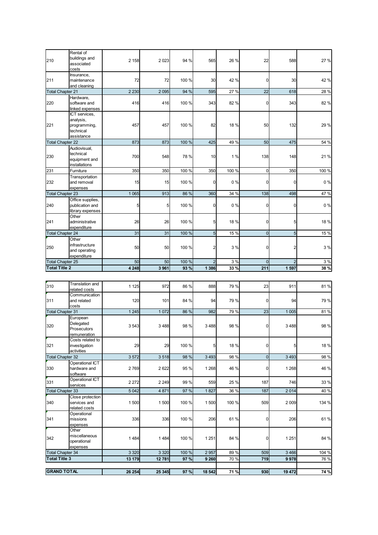| 210                     | Rental of<br>buildings and<br>associated<br>costs                     | 2 1 5 8 | 2023           | 94 %  | 565             | 26 %  | 22             | 588            | 27 %  |
|-------------------------|-----------------------------------------------------------------------|---------|----------------|-------|-----------------|-------|----------------|----------------|-------|
| 211                     | Insurance,<br>maintenance<br>and cleaning                             | 72      | 72             | 100 % | 30              | 42 %  | $\mathbf 0$    | 30             | 42 %  |
| <b>Total Chapter 21</b> |                                                                       | 2 2 3 0 | 2 0 9 5        | 94 %  | 595             | 27 %  | 22             | 618            | 28 %  |
| 220                     | Hardware,<br>software and<br>linked expenses                          | 416     | 416            | 100 % | 343             | 82 %  | $\mathbf 0$    | 343            | 82 %  |
| 221                     | ICT services,<br>analysis,<br>programming,<br>technical<br>assistance | 457     | 457            | 100 % | 82              | 18 %  | 50             | 132            | 29 %  |
| <b>Total Chapter 22</b> |                                                                       | 873     | 873            | 100 % | 425             | 49 %  | 50             | 475            | 54 %  |
| 230                     | Audiovisual,<br>technical<br>equipment and<br>installations           | 700     | 548            | 78 %  | 10              | 1%    | 138            | 148            | 21%   |
| 231                     | Furniture                                                             | 350     | 350            | 100 % | 350             | 100 % | $\mathbf 0$    | 350            | 100 % |
| 232                     | Transportation<br>and removal<br>expenses                             | 15      | 15             | 100 % | $\overline{0}$  | 0%    | 0              | 0              | 0%    |
| <b>Total Chapter 23</b> |                                                                       | 1 0 6 5 | 913            | 86 %  | 360             | 34 %  | 138            | 498            | 47 %  |
| 240                     | Office supplies,<br>publication and<br>library expenses               | 5       | 5 <sub>l</sub> | 100 % | $\overline{0}$  | 0%    | $\mathbf 0$    | 0              | 0%    |
| 241                     | Other<br>administrative<br>expenditure                                | 26      | 26             | 100 % | 5               | 18 %  | $\overline{0}$ | 5              | 18%   |
| <b>Total Chapter 24</b> |                                                                       | 31      | 31             | 100 % | $5\overline{)}$ | 15 %  | $\overline{0}$ | 5              | 15 %  |
| 250                     | Other<br>infrastructure<br>and operating<br>expenditure               | 50      | 50             | 100 % | 2               | 3 %   | $\mathbf 0$    | 2              | 3 %   |
| <b>Total Chapter 25</b> |                                                                       | 50      | 50             | 100 % | $\overline{2}$  | 3 %   | $\mathbf 0$    | $\overline{2}$ | 3 %   |
| <b>Total Title 2</b>    |                                                                       | 4 2 4 8 | 3961           | 93 %  | 1 3 8 6         | 33%   | 211            | 1597           | 38 %  |
|                         |                                                                       |         |                |       |                 |       |                |                |       |
| 310                     | Translation and<br>related costs                                      | 1 1 2 5 | 972            | 86 %  | 888             | 79 %  | 23             | 911            | 81%   |
| 311                     | Communication<br>and related<br>costs                                 | 120     | 101            | 84 %  | 94              | 79 %  | $\mathbf 0$    | 94             | 79%   |
| <b>Total Chapter 31</b> |                                                                       | 1 2 4 5 | 1 0 7 2        | 86 %  | 982             | 79 %  | 23             | 1 0 0 5        | 81%   |
| 320                     | European<br>Delegated<br>Prosecutors<br>remuneration                  | 3543    | 3488           | 98 %  | 3488            | 98 %  | 0              | 3488           | 98 %  |
| 321                     | Costs related to<br>investigation<br>activities                       | 29      | 29             | 100 % | 5               | 18 %  | $\mathbf 0$    | 5              | 18%   |
| <b>Total Chapter 32</b> |                                                                       | 3572    | 3518           | 98 %  | 3 4 9 3         | 98 %  | $\overline{0}$ | 3493           | 98 %  |
| 330                     | Operational ICT<br>hardware and<br>software                           | 2769    | 2622           | 95 %  | 1 2 6 8         | 46 %  | $\mathbf 0$    | 1 2 6 8        | 46 %  |
| 331                     | <b>Operational ICT</b><br>services                                    | 2 2 7 2 | 2 2 4 9        | 99 %  | 559             | 25 %  | 187            | 746            | 33 %  |

| <b>GRAND TOTAL</b>      |                                                   | 26 254  | 25 345  | 97 %  | 18 542  | 71 %  | 930        | 19 472  | 74 %  |
|-------------------------|---------------------------------------------------|---------|---------|-------|---------|-------|------------|---------|-------|
|                         |                                                   |         |         |       |         |       |            |         |       |
| <b>Total Title 3</b>    |                                                   | 13 179  | 12 781  | 97 %  | 9 2 6 0 | 70 %  | 719        | 9978    | 76 %  |
| <b>Total Chapter 34</b> |                                                   | 3 3 2 0 | 3 3 2 0 | 100 % | 2 9 5 7 | 89 %  | 509        | 3 4 6 6 | 104 % |
| 342                     | Other<br>miscellaneous<br>operational<br>expenses | 1484    | 1484    | 100 % | 1 2 5 1 | 84 %  | $\Omega$   | 1 2 5 1 | 84 %  |
| 341                     | Operational<br>missions<br>expenses               | 336     | 336     | 100 % | 206     | 61 %  | $\Omega$   | 206     | 61%   |
| 340                     | Close protection<br>services and<br>related costs | 500     | 500     | 100 % | 1 500   | 100 % | 509        | 2 0 0 9 | 134 % |
| <b>Total Chapter 33</b> |                                                   | 5 0 4 2 | 4871    | 97 %  | 1827    | 36 %  | <b>187</b> | 2014    | 40 %  |
| 331                     | Operational ICT<br>services                       | 2 2 7 2 | 2 2 4 9 | 99 %  | 559     | 25 %  | 187        | 746     | 33 %  |
|                         | oviwaly                                           |         |         |       |         |       |            |         |       |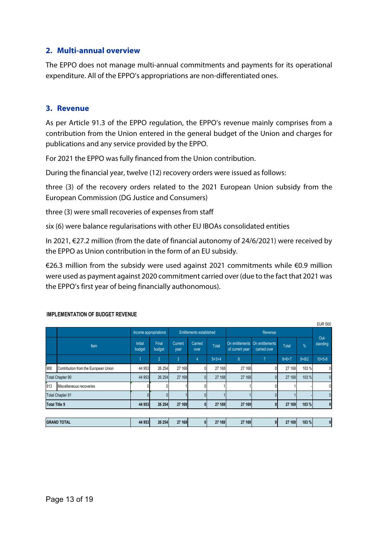#### <span id="page-13-0"></span>**2. Multi-annual overview**

The EPPO does not manage multi-annual commitments and payments for its operational expenditure. All of the EPPO's appropriations are non-differentiated ones.

#### <span id="page-13-1"></span>**3. Revenue**

As per Article 91.3 of the EPPO regulation, the EPPO's revenue mainly comprises from a contribution from the Union entered in the general budget of the Union and charges for publications and any service provided by the EPPO.

For 2021 the EPPO was fully financed from the Union contribution.

During the financial year, twelve (12) recovery orders were issued as follows:

three (3) of the recovery orders related to the 2021 European Union subsidy from the European Commission (DG Justice and Consumers)

three (3) were small recoveries of expenses from staff

six (6) were balance regularisations with other EU IBOAs consolidated entities

In 2021, €27.2 million (from the date of financial autonomy of 24/6/2021) were received by the EPPO as Union contribution in the form of an EU subsidy.

€26.3 million from the subsidy were used against 2021 commitments while €0.9 million were used as payment against 2020 commitment carried over (due to the fact that 2021 was the EPPO's first year of being financially authonomous).

|                         |                                      |                          |                                                              |                        |                 |             |                 |                                                 |         |           | <b>EUR '000</b>  |
|-------------------------|--------------------------------------|--------------------------|--------------------------------------------------------------|------------------------|-----------------|-------------|-----------------|-------------------------------------------------|---------|-----------|------------------|
|                         |                                      |                          | Income appropriations<br>Entitlements established<br>Revenue |                        |                 |             |                 |                                                 |         |           |                  |
|                         | Item                                 | <b>Initial</b><br>budget | Final<br>budget                                              | <b>Current</b><br>year | Carried<br>over | Total       | of current year | On entitlements On entitlements<br>carried over | Total   | %         | Out-<br>standing |
|                         |                                      |                          | $\overline{2}$                                               | 3                      | 4               | $5 = 3 + 4$ | $6\phantom{a}$  | $\overline{7}$                                  | $8=6+7$ | $9 = 8/2$ | $10 = 5 - 8$     |
| 900                     | Contribution from the European Union | 44 953                   | 26 254                                                       | 27 168                 | 0               | 27 168      | 27 168          |                                                 | 27 168  | 103 %     | 0                |
| <b>Total Chapter 90</b> |                                      | 44 953                   | 26 254                                                       | 27 168                 | $\overline{0}$  | 27 168      | 27 168          | $\overline{0}$                                  | 27 168  | 103 %     | $\pmb{0}$        |
| 913                     | Miscellaneous recoveries             |                          |                                                              |                        |                 |             |                 |                                                 |         |           | 0                |
| <b>Total Chapter 91</b> |                                      |                          |                                                              |                        | $\Omega$        |             |                 |                                                 |         |           | $\mathbf{0}$     |
| <b>Total Title 9</b>    |                                      | 44 953                   | 26 254                                                       | 27 169                 | $\mathbf{0}$    | 27 169      | 27 169          | 0                                               | 27 169  | 103 %     | $\pmb{0}$        |
|                         |                                      |                          |                                                              |                        |                 |             |                 |                                                 |         |           |                  |
| <b>GRAND TOTAL</b>      |                                      | 44 953                   | 26 254                                                       | 27 169                 | $\mathbf{0}$    | 27 169      | 27 169          | 01                                              | 27 169  | 103%      | $\boldsymbol{0}$ |

#### **IMPLEMENTATION OF BUDGET REVENUE**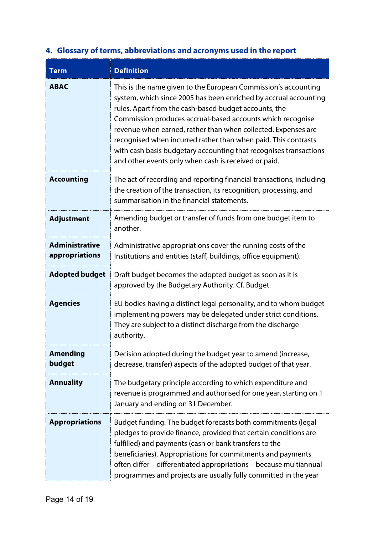| <b>Term</b>                             | <b>Definition</b>                                                                                                                                                                                                                                                                                                                                                                                                                                                                                                         |
|-----------------------------------------|---------------------------------------------------------------------------------------------------------------------------------------------------------------------------------------------------------------------------------------------------------------------------------------------------------------------------------------------------------------------------------------------------------------------------------------------------------------------------------------------------------------------------|
| <b>ABAC</b>                             | This is the name given to the European Commission's accounting<br>system, which since 2005 has been enriched by accrual accounting<br>rules. Apart from the cash-based budget accounts, the<br>Commission produces accrual-based accounts which recognise<br>revenue when earned, rather than when collected. Expenses are<br>recognised when incurred rather than when paid. This contrasts<br>with cash basis budgetary accounting that recognises transactions<br>and other events only when cash is received or paid. |
| <b>Accounting</b>                       | The act of recording and reporting financial transactions, including<br>the creation of the transaction, its recognition, processing, and<br>summarisation in the financial statements.                                                                                                                                                                                                                                                                                                                                   |
| <b>Adjustment</b>                       | Amending budget or transfer of funds from one budget item to<br>another.                                                                                                                                                                                                                                                                                                                                                                                                                                                  |
| <b>Administrative</b><br>appropriations | Administrative appropriations cover the running costs of the<br>Institutions and entities (staff, buildings, office equipment).                                                                                                                                                                                                                                                                                                                                                                                           |
| <b>Adopted budget</b>                   | Draft budget becomes the adopted budget as soon as it is<br>approved by the Budgetary Authority. Cf. Budget.                                                                                                                                                                                                                                                                                                                                                                                                              |
| <b>Agencies</b>                         | EU bodies having a distinct legal personality, and to whom budget<br>implementing powers may be delegated under strict conditions.<br>They are subject to a distinct discharge from the discharge<br>authority.                                                                                                                                                                                                                                                                                                           |
| <b>Amending</b><br>budget               | Decision adopted during the budget year to amend (increase,<br>decrease, transfer) aspects of the adopted budget of that year.                                                                                                                                                                                                                                                                                                                                                                                            |
| <b>Annuality</b>                        | The budgetary principle according to which expenditure and<br>revenue is programmed and authorised for one year, starting on 1<br>January and ending on 31 December.                                                                                                                                                                                                                                                                                                                                                      |
| <b>Appropriations</b>                   | Budget funding. The budget forecasts both commitments (legal<br>pledges to provide finance, provided that certain conditions are<br>fulfilled) and payments (cash or bank transfers to the<br>beneficiaries). Appropriations for commitments and payments<br>often differ - differentiated appropriations - because multiannual<br>programmes and projects are usually fully committed in the year                                                                                                                        |

## <span id="page-14-0"></span>**4. Glossary of terms, abbreviations and acronyms used in the report**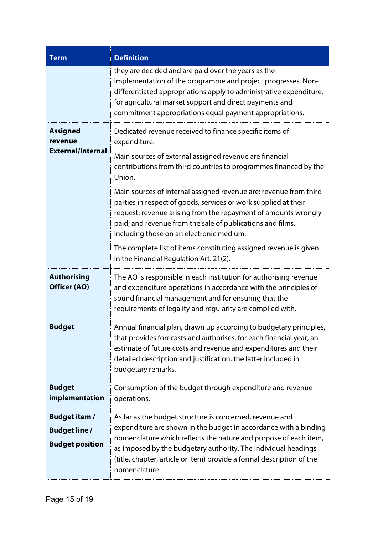| <b>Term</b>                                                            | <b>Definition</b>                                                                                                                                                                                                                                                                                                                                            |
|------------------------------------------------------------------------|--------------------------------------------------------------------------------------------------------------------------------------------------------------------------------------------------------------------------------------------------------------------------------------------------------------------------------------------------------------|
|                                                                        | they are decided and are paid over the years as the<br>implementation of the programme and project progresses. Non-<br>differentiated appropriations apply to administrative expenditure,<br>for agricultural market support and direct payments and<br>commitment appropriations equal payment appropriations.                                              |
| <b>Assigned</b><br>revenue                                             | Dedicated revenue received to finance specific items of<br>expenditure.                                                                                                                                                                                                                                                                                      |
| <b>External/Internal</b>                                               | Main sources of external assigned revenue are financial<br>contributions from third countries to programmes financed by the<br>Union.                                                                                                                                                                                                                        |
|                                                                        | Main sources of internal assigned revenue are: revenue from third<br>parties in respect of goods, services or work supplied at their<br>request; revenue arising from the repayment of amounts wrongly<br>paid; and revenue from the sale of publications and films,<br>including those on an electronic medium.                                             |
|                                                                        | The complete list of items constituting assigned revenue is given<br>in the Financial Regulation Art. 21(2).                                                                                                                                                                                                                                                 |
| <b>Authorising</b><br>Officer (AO)                                     | The AO is responsible in each institution for authorising revenue<br>and expenditure operations in accordance with the principles of<br>sound financial management and for ensuring that the<br>requirements of legality and regularity are complied with.                                                                                                   |
| <b>Budget</b>                                                          | Annual financial plan, drawn up according to budgetary principles,<br>that provides forecasts and authorises, for each financial year, an<br>estimate of future costs and revenue and expenditures and their<br>detailed description and justification, the latter included in<br>budgetary remarks.                                                         |
| <b>Budget</b><br>implementation                                        | Consumption of the budget through expenditure and revenue<br>operations.                                                                                                                                                                                                                                                                                     |
| <b>Budget item /</b><br><b>Budget line /</b><br><b>Budget position</b> | As far as the budget structure is concerned, revenue and<br>expenditure are shown in the budget in accordance with a binding<br>nomenclature which reflects the nature and purpose of each item,<br>as imposed by the budgetary authority. The individual headings<br>(title, chapter, article or item) provide a formal description of the<br>nomenclature. |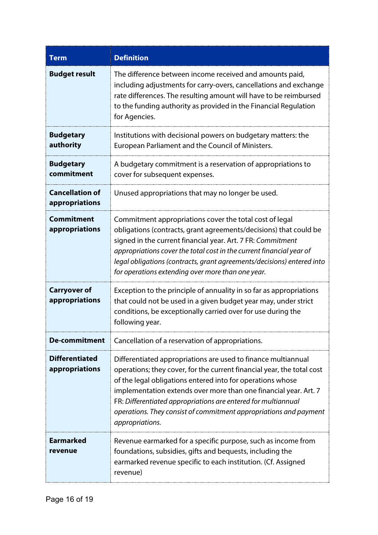| Term                                     | <b>Definition</b>                                                                                                                                                                                                                                                                                                                                                                                                                  |
|------------------------------------------|------------------------------------------------------------------------------------------------------------------------------------------------------------------------------------------------------------------------------------------------------------------------------------------------------------------------------------------------------------------------------------------------------------------------------------|
| <b>Budget result</b>                     | The difference between income received and amounts paid,<br>including adjustments for carry-overs, cancellations and exchange<br>rate differences. The resulting amount will have to be reimbursed<br>to the funding authority as provided in the Financial Regulation<br>for Agencies.                                                                                                                                            |
| <b>Budgetary</b><br>authority            | Institutions with decisional powers on budgetary matters: the<br>European Parliament and the Council of Ministers.                                                                                                                                                                                                                                                                                                                 |
| <b>Budgetary</b><br>commitment           | A budgetary commitment is a reservation of appropriations to<br>cover for subsequent expenses.                                                                                                                                                                                                                                                                                                                                     |
| <b>Cancellation of</b><br>appropriations | Unused appropriations that may no longer be used.                                                                                                                                                                                                                                                                                                                                                                                  |
| <b>Commitment</b><br>appropriations      | Commitment appropriations cover the total cost of legal<br>obligations (contracts, grant agreements/decisions) that could be<br>signed in the current financial year. Art. 7 FR: Commitment<br>appropriations cover the total cost in the current financial year of<br>legal obligations (contracts, grant agreements/decisions) entered into<br>for operations extending over more than one year.                                 |
| <b>Carryover of</b><br>appropriations    | Exception to the principle of annuality in so far as appropriations<br>that could not be used in a given budget year may, under strict<br>conditions, be exceptionally carried over for use during the<br>following year.                                                                                                                                                                                                          |
| <b>De-commitment</b>                     | Cancellation of a reservation of appropriations.                                                                                                                                                                                                                                                                                                                                                                                   |
| <b>Differentiated</b><br>appropriations  | Differentiated appropriations are used to finance multiannual<br>operations; they cover, for the current financial year, the total cost<br>of the legal obligations entered into for operations whose<br>implementation extends over more than one financial year. Art. 7<br>FR: Differentiated appropriations are entered for multiannual<br>operations. They consist of commitment appropriations and payment<br>appropriations. |
| <b>Earmarked</b><br>revenue              | Revenue earmarked for a specific purpose, such as income from<br>foundations, subsidies, gifts and bequests, including the<br>earmarked revenue specific to each institution. (Cf. Assigned<br>revenue)                                                                                                                                                                                                                            |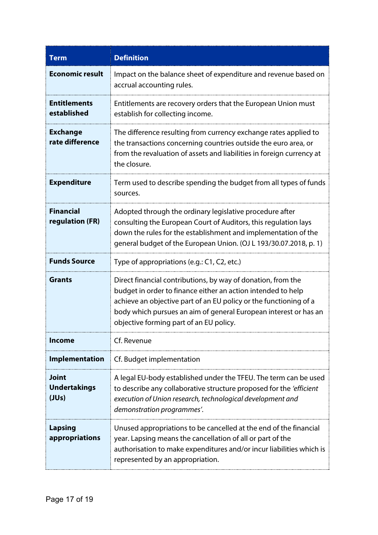| Term                                         | <b>Definition</b>                                                                                                                                                                                                                                                                                                |
|----------------------------------------------|------------------------------------------------------------------------------------------------------------------------------------------------------------------------------------------------------------------------------------------------------------------------------------------------------------------|
| <b>Economic result</b>                       | Impact on the balance sheet of expenditure and revenue based on<br>accrual accounting rules.                                                                                                                                                                                                                     |
| <b>Entitlements</b><br>established           | Entitlements are recovery orders that the European Union must<br>establish for collecting income.                                                                                                                                                                                                                |
| <b>Exchange</b><br>rate difference           | The difference resulting from currency exchange rates applied to<br>the transactions concerning countries outside the euro area, or<br>from the revaluation of assets and liabilities in foreign currency at<br>the closure.                                                                                     |
| <b>Expenditure</b>                           | Term used to describe spending the budget from all types of funds<br>sources.                                                                                                                                                                                                                                    |
| <b>Financial</b><br>regulation (FR)          | Adopted through the ordinary legislative procedure after<br>consulting the European Court of Auditors, this regulation lays<br>down the rules for the establishment and implementation of the<br>general budget of the European Union. (OJ L 193/30.07.2018, p. 1)                                               |
| <b>Funds Source</b>                          | Type of appropriations (e.g.: C1, C2, etc.)                                                                                                                                                                                                                                                                      |
| <b>Grants</b>                                | Direct financial contributions, by way of donation, from the<br>budget in order to finance either an action intended to help<br>achieve an objective part of an EU policy or the functioning of a<br>body which pursues an aim of general European interest or has an<br>objective forming part of an EU policy. |
| <b>Income</b>                                | Cf. Revenue                                                                                                                                                                                                                                                                                                      |
| <b>Implementation</b>                        | Cf. Budget implementation                                                                                                                                                                                                                                                                                        |
| <b>Joint</b><br><b>Undertakings</b><br>(JUs) | A legal EU-body established under the TFEU. The term can be used<br>to describe any collaborative structure proposed for the 'efficient'<br>execution of Union research, technological development and<br>demonstration programmes'.                                                                             |
| <b>Lapsing</b><br>appropriations             | Unused appropriations to be cancelled at the end of the financial<br>year. Lapsing means the cancellation of all or part of the<br>authorisation to make expenditures and/or incur liabilities which is<br>represented by an appropriation.                                                                      |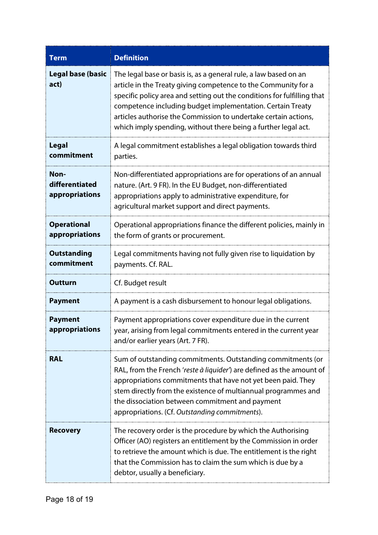| <b>Term</b>                              | <b>Definition</b>                                                                                                                                                                                                                                                                                                                                                                                                |
|------------------------------------------|------------------------------------------------------------------------------------------------------------------------------------------------------------------------------------------------------------------------------------------------------------------------------------------------------------------------------------------------------------------------------------------------------------------|
| <b>Legal base (basic</b><br>act)         | The legal base or basis is, as a general rule, a law based on an<br>article in the Treaty giving competence to the Community for a<br>specific policy area and setting out the conditions for fulfilling that<br>competence including budget implementation. Certain Treaty<br>articles authorise the Commission to undertake certain actions,<br>which imply spending, without there being a further legal act. |
| <b>Legal</b><br>commitment               | A legal commitment establishes a legal obligation towards third<br>parties.                                                                                                                                                                                                                                                                                                                                      |
| Non-<br>differentiated<br>appropriations | Non-differentiated appropriations are for operations of an annual<br>nature. (Art. 9 FR). In the EU Budget, non-differentiated<br>appropriations apply to administrative expenditure, for<br>agricultural market support and direct payments.                                                                                                                                                                    |
| <b>Operational</b><br>appropriations     | Operational appropriations finance the different policies, mainly in<br>the form of grants or procurement.                                                                                                                                                                                                                                                                                                       |
| <b>Outstanding</b><br>commitment         | Legal commitments having not fully given rise to liquidation by<br>payments. Cf. RAL.                                                                                                                                                                                                                                                                                                                            |
| <b>Outturn</b>                           | Cf. Budget result                                                                                                                                                                                                                                                                                                                                                                                                |
| <b>Payment</b>                           | A payment is a cash disbursement to honour legal obligations.                                                                                                                                                                                                                                                                                                                                                    |
| <b>Payment</b><br>appropriations         | Payment appropriations cover expenditure due in the current<br>year, arising from legal commitments entered in the current year<br>and/or earlier years (Art. 7 FR).                                                                                                                                                                                                                                             |
| <b>RAL</b>                               | Sum of outstanding commitments. Outstanding commitments (or<br>RAL, from the French 'reste à liquider') are defined as the amount of<br>appropriations commitments that have not yet been paid. They<br>stem directly from the existence of multiannual programmes and<br>the dissociation between commitment and payment<br>appropriations. (Cf. Outstanding commitments).                                      |
| <b>Recovery</b>                          | The recovery order is the procedure by which the Authorising<br>Officer (AO) registers an entitlement by the Commission in order<br>to retrieve the amount which is due. The entitlement is the right<br>that the Commission has to claim the sum which is due by a<br>debtor, usually a beneficiary.                                                                                                            |